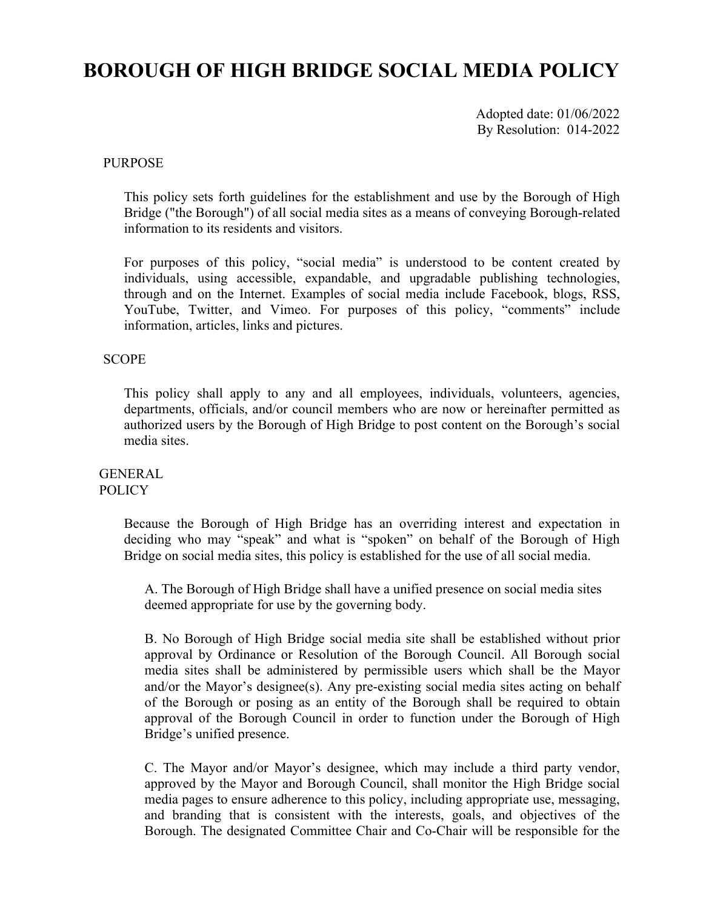# **BOROUGH OF HIGH BRIDGE SOCIAL MEDIA POLICY**

Adopted date: 01/06/2022 By Resolution: 014-2022

# PURPOSE

This policy sets forth guidelines for the establishment and use by the Borough of High Bridge ("the Borough") of all social media sites as a means of conveying Borough-related information to its residents and visitors.

For purposes of this policy, "social media" is understood to be content created by individuals, using accessible, expandable, and upgradable publishing technologies, through and on the Internet. Examples of social media include Facebook, blogs, RSS, YouTube, Twitter, and Vimeo. For purposes of this policy, "comments" include information, articles, links and pictures.

### **SCOPE**

This policy shall apply to any and all employees, individuals, volunteers, agencies, departments, officials, and/or council members who are now or hereinafter permitted as authorized users by the Borough of High Bridge to post content on the Borough's social media sites.

#### GENERAL **POLICY**

Because the Borough of High Bridge has an overriding interest and expectation in deciding who may "speak" and what is "spoken" on behalf of the Borough of High Bridge on social media sites, this policy is established for the use of all social media.

A. The Borough of High Bridge shall have a unified presence on social media sites deemed appropriate for use by the governing body.

B. No Borough of High Bridge social media site shall be established without prior approval by Ordinance or Resolution of the Borough Council. All Borough social media sites shall be administered by permissible users which shall be the Mayor and/or the Mayor's designee(s). Any pre-existing social media sites acting on behalf of the Borough or posing as an entity of the Borough shall be required to obtain approval of the Borough Council in order to function under the Borough of High Bridge's unified presence.

C. The Mayor and/or Mayor's designee, which may include a third party vendor, approved by the Mayor and Borough Council, shall monitor the High Bridge social media pages to ensure adherence to this policy, including appropriate use, messaging, and branding that is consistent with the interests, goals, and objectives of the Borough. The designated Committee Chair and Co-Chair will be responsible for the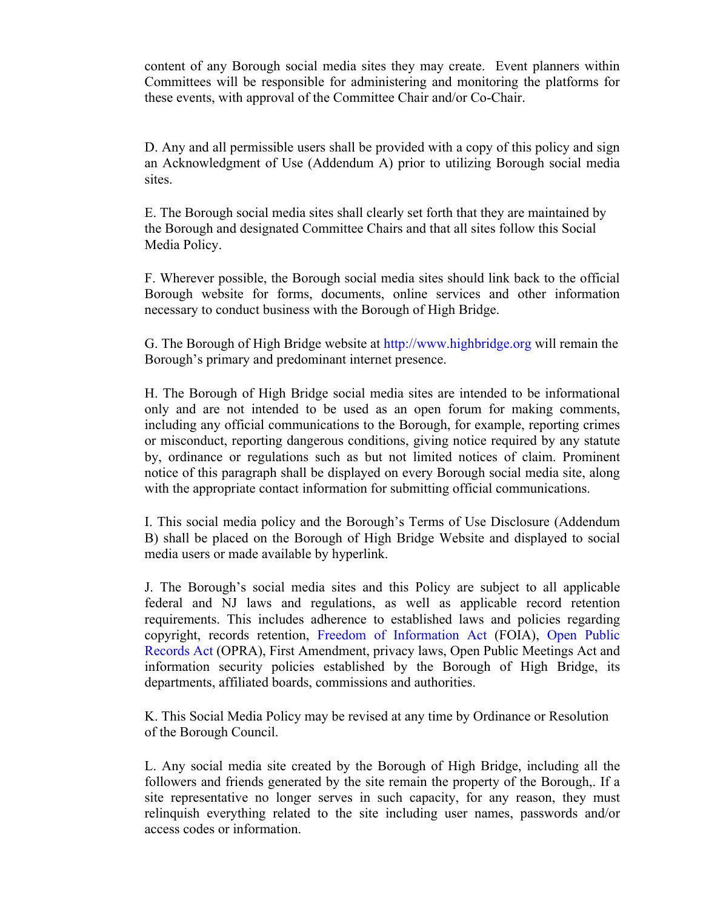content of any Borough social media sites they may create. Event planners within Committees will be responsible for administering and monitoring the platforms for these events, with approval of the Committee Chair and/or Co-Chair.

D. Any and all permissible users shall be provided with a copy of this policy and sign an Acknowledgment of Use (Addendum A) prior to utilizing Borough social media sites.

E. The Borough social media sites shall clearly set forth that they are maintained by the Borough and designated Committee Chairs and that all sites follow this Social Media Policy.

F. Wherever possible, the Borough social media sites should link back to the official Borough website for forms, documents, online services and other information necessary to conduct business with the Borough of High Bridge.

G. The Borough of High Bridge website at http://www.highbridge.org will remain the Borough's primary and predominant internet presence.

H. The Borough of High Bridge social media sites are intended to be informational only and are not intended to be used as an open forum for making comments, including any official communications to the Borough, for example, reporting crimes or misconduct, reporting dangerous conditions, giving notice required by any statute by, ordinance or regulations such as but not limited notices of claim. Prominent notice of this paragraph shall be displayed on every Borough social media site, along with the appropriate contact information for submitting official communications.

I. This social media policy and the Borough's Terms of Use Disclosure (Addendum B) shall be placed on the Borough of High Bridge Website and displayed to social media users or made available by hyperlink.

J. The Borough's social media sites and this Policy are subject to all applicable federal and NJ laws and regulations, as well as applicable record retention requirements. This includes adherence to established laws and policies regarding copyright, records retention, Freedom of Information Act (FOIA), Open Public Records Act (OPRA), First Amendment, privacy laws, Open Public Meetings Act and information security policies established by the Borough of High Bridge, its departments, affiliated boards, commissions and authorities.

K. This Social Media Policy may be revised at any time by Ordinance or Resolution of the Borough Council.

L. Any social media site created by the Borough of High Bridge, including all the followers and friends generated by the site remain the property of the Borough,. If a site representative no longer serves in such capacity, for any reason, they must relinquish everything related to the site including user names, passwords and/or access codes or information.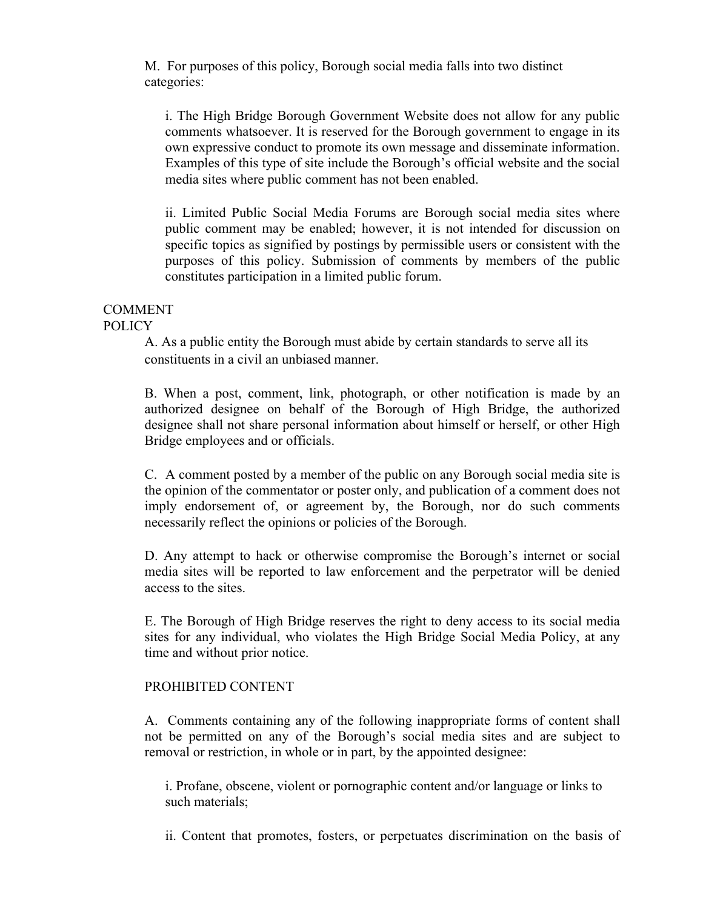M. For purposes of this policy, Borough social media falls into two distinct categories:

i. The High Bridge Borough Government Website does not allow for any public comments whatsoever. It is reserved for the Borough government to engage in its own expressive conduct to promote its own message and disseminate information. Examples of this type of site include the Borough's official website and the social media sites where public comment has not been enabled.

ii. Limited Public Social Media Forums are Borough social media sites where public comment may be enabled; however, it is not intended for discussion on specific topics as signified by postings by permissible users or consistent with the purposes of this policy. Submission of comments by members of the public constitutes participation in a limited public forum.

#### COMMENT POLICY

A. As a public entity the Borough must abide by certain standards to serve all its constituents in a civil an unbiased manner.

B. When a post, comment, link, photograph, or other notification is made by an authorized designee on behalf of the Borough of High Bridge, the authorized designee shall not share personal information about himself or herself, or other High Bridge employees and or officials.

C. A comment posted by a member of the public on any Borough social media site is the opinion of the commentator or poster only, and publication of a comment does not imply endorsement of, or agreement by, the Borough, nor do such comments necessarily reflect the opinions or policies of the Borough.

D. Any attempt to hack or otherwise compromise the Borough's internet or social media sites will be reported to law enforcement and the perpetrator will be denied access to the sites.

E. The Borough of High Bridge reserves the right to deny access to its social media sites for any individual, who violates the High Bridge Social Media Policy, at any time and without prior notice.

# PROHIBITED CONTENT

A. Comments containing any of the following inappropriate forms of content shall not be permitted on any of the Borough's social media sites and are subject to removal or restriction, in whole or in part, by the appointed designee:

i. Profane, obscene, violent or pornographic content and/or language or links to such materials;

ii. Content that promotes, fosters, or perpetuates discrimination on the basis of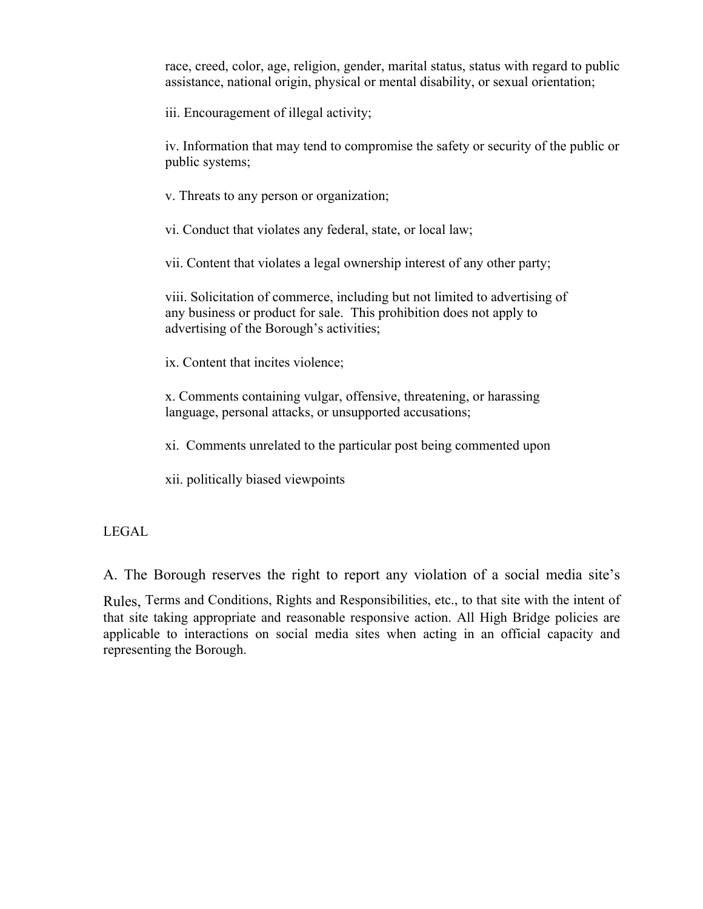race, creed, color, age, religion, gender, marital status, status with regard to public assistance, national origin, physical or mental disability, or sexual orientation;

iii. Encouragement of illegal activity;

iv. Information that may tend to compromise the safety or security of the public or public systems;

v. Threats to any person or organization;

vi. Conduct that violates any federal, state, or local law;

vii. Content that violates a legal ownership interest of any other party;

viii. Solicitation of commerce, including but not limited to advertising of any business or product for sale. This prohibition does not apply to advertising of the Borough's activities;

ix. Content that incites violence;

x. Comments containing vulgar, offensive, threatening, or harassing language, personal attacks, or unsupported accusations;

xi. Comments unrelated to the particular post being commented upon

xii. politically biased viewpoints

LEGAL

A. The Borough reserves the right to report any violation of a social media site's

Rules, Terms and Conditions, Rights and Responsibilities, etc., to that site with the intent of that site taking appropriate and reasonable responsive action. All High Bridge policies are applicable to interactions on social media sites when acting in an official capacity and representing the Borough.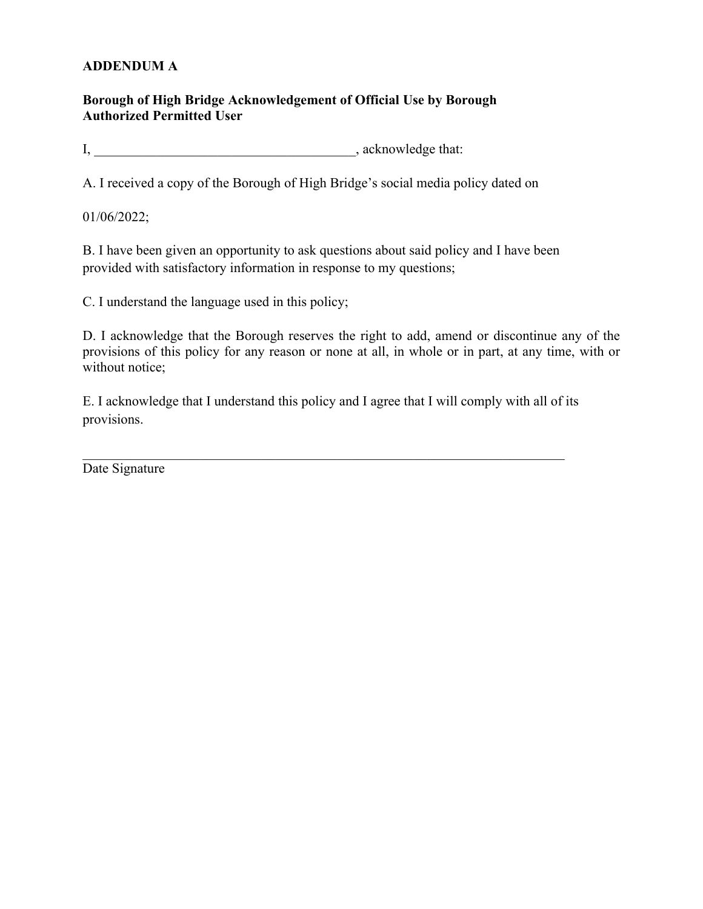# **ADDENDUM A**

# **Borough of High Bridge Acknowledgement of Official Use by Borough Authorized Permitted User**

I, \_\_\_\_\_\_\_\_\_\_\_\_\_\_\_\_\_\_\_\_\_\_\_\_\_\_\_\_\_\_\_\_\_\_\_\_\_\_, acknowledge that:

A. I received a copy of the Borough of High Bridge's social media policy dated on

01/06/2022;

B. I have been given an opportunity to ask questions about said policy and I have been provided with satisfactory information in response to my questions;

C. I understand the language used in this policy;

D. I acknowledge that the Borough reserves the right to add, amend or discontinue any of the provisions of this policy for any reason or none at all, in whole or in part, at any time, with or without notice;

E. I acknowledge that I understand this policy and I agree that I will comply with all of its provisions.

Date Signature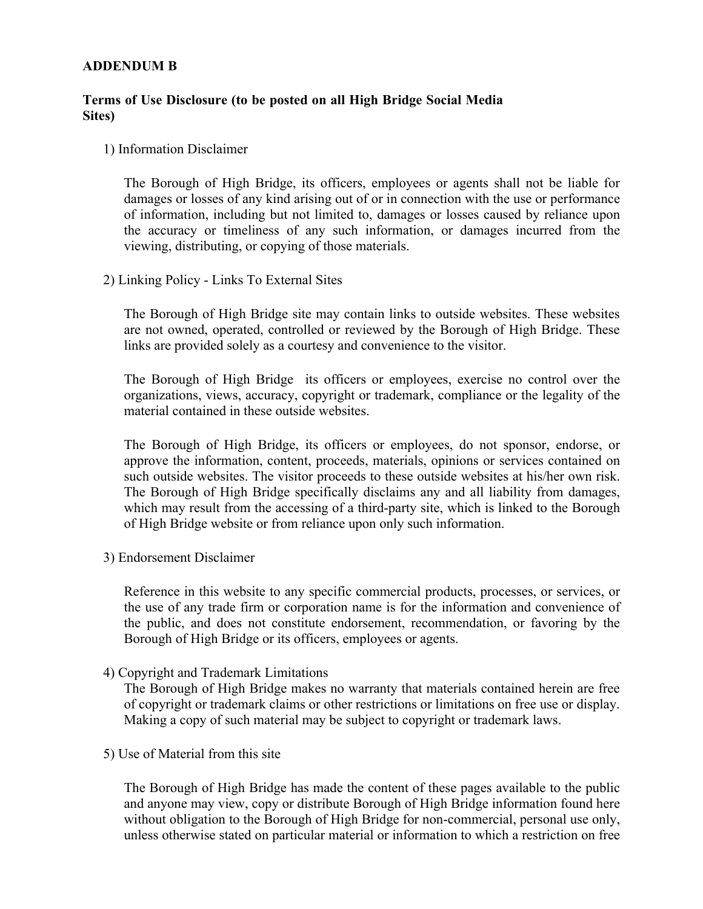# **ADDENDUM B**

# **Terms of Use Disclosure (to be posted on all High Bridge Social Media Sites)**

## 1) Information Disclaimer

The Borough of High Bridge, its officers, employees or agents shall not be liable for damages or losses of any kind arising out of or in connection with the use or performance of information, including but not limited to, damages or losses caused by reliance upon the accuracy or timeliness of any such information, or damages incurred from the viewing, distributing, or copying of those materials.

2) Linking Policy - Links To External Sites

The Borough of High Bridge site may contain links to outside websites. These websites are not owned, operated, controlled or reviewed by the Borough of High Bridge. These links are provided solely as a courtesy and convenience to the visitor.

The Borough of High Bridge its officers or employees, exercise no control over the organizations, views, accuracy, copyright or trademark, compliance or the legality of the material contained in these outside websites.

The Borough of High Bridge, its officers or employees, do not sponsor, endorse, or approve the information, content, proceeds, materials, opinions or services contained on such outside websites. The visitor proceeds to these outside websites at his/her own risk. The Borough of High Bridge specifically disclaims any and all liability from damages, which may result from the accessing of a third-party site, which is linked to the Borough of High Bridge website or from reliance upon only such information.

3) Endorsement Disclaimer

Reference in this website to any specific commercial products, processes, or services, or the use of any trade firm or corporation name is for the information and convenience of the public, and does not constitute endorsement, recommendation, or favoring by the Borough of High Bridge or its officers, employees or agents.

4) Copyright and Trademark Limitations

The Borough of High Bridge makes no warranty that materials contained herein are free of copyright or trademark claims or other restrictions or limitations on free use or display. Making a copy of such material may be subject to copyright or trademark laws.

5) Use of Material from this site

The Borough of High Bridge has made the content of these pages available to the public and anyone may view, copy or distribute Borough of High Bridge information found here without obligation to the Borough of High Bridge for non-commercial, personal use only, unless otherwise stated on particular material or information to which a restriction on free